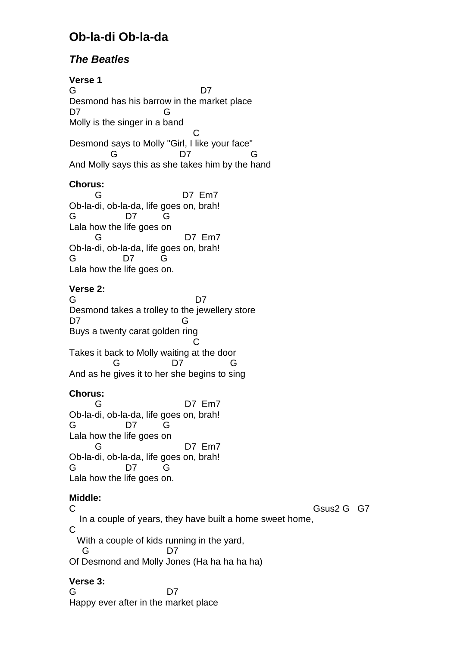# **Ob-la-di Ob-la-da**

## **The Beatles**

**Verse 1**  G D7 Desmond has his barrow in the market place D7 G Molly is the singer in a band **C C C** Desmond says to Molly "Girl, I like your face" G D7 G And Molly says this as she takes him by the hand **Chorus:**  G D7 Em7 Ob-la-di, ob-la-da, life goes on, brah! G D7 G Lala how the life goes on G D7 Em7 Ob-la-di, ob-la-da, life goes on, brah! G D7 G Lala how the life goes on.

**Verse 2:** 

G D7 Desmond takes a trolley to the jewellery store D7 G Buys a twenty carat golden ring **C C C** Takes it back to Molly waiting at the door G D7 G And as he gives it to her she begins to sing

### **Chorus:**

 G D7 Em7 Ob-la-di, ob-la-da, life goes on, brah! G D7 G Lala how the life goes on G D7 Em7 Ob-la-di, ob-la-da, life goes on, brah! G D7 G Lala how the life goes on.

### **Middle:**

C Gsus2 G G7 In a couple of years, they have built a home sweet home, C With a couple of kids running in the yard, G D7 Of Desmond and Molly Jones (Ha ha ha ha ha)

### **Verse 3:**

G D7 Happy ever after in the market place